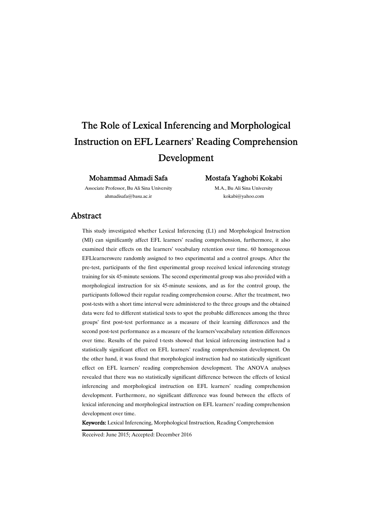# The Role of Lexical Inferencing and Morphological Instruction on EFL Learners' Reading Comprehension Development

#### Mohammad Ahmadi Safa

Mostafa Yaghobi Kokabi

Associate Professor, Bu Ali Sina University ahmadisafa@basu.ac.ir

M.A., Bu Ali Sina University kokabi@yahoo.com

### Abstract

This study investigated whether Lexical Inferencing (L1) and Morphological Instruction (MI) can significantly affect EFL learners' reading comprehension, furthermore, it also examined their effects on the learners' vocabulary retention over time. 60 homogeneous EFLlearnerswere randomly assigned to two experimental and a control groups. After the pre-test, participants of the first experimental group received lexical inferencing strategy training for six 45-minute sessions. The second experimental group was also provided with a morphological instruction for six 45-minute sessions, and as for the control group, the participants followed their regular reading comprehension course. After the treatment, two post-tests with a short time interval were administered to the three groups and the obtained data were fed to different statistical tests to spot the probable differences among the three groups' first post-test performance as a measure of their learning differences and the second post-test performance as a measure of the learners'vocabulary retention differences over time. Results of the paired t-tests showed that lexical inferencing instruction had a statistically significant effect on EFL learners' reading comprehension development. On the other hand, it was found that morphological instruction had no statistically significant effect on EFL learners' reading comprehension development. The ANOVA analyses revealed that there was no statistically significant difference between the effects of lexical inferencing and morphological instruction on EFL learners' reading comprehension development. Furthermore, no significant difference was found between the effects of lexical inferencing and morphological instruction on EFL learners' reading comprehension development over time.

Keywords: Lexical Inferencing, Morphological Instruction, Reading Comprehension

Received: June 2015; Accepted: December 2016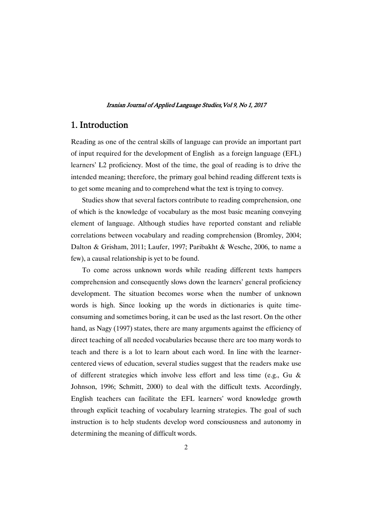# 1. Introduction

Reading as one of the central skills of language can provide an important part of input required for the development of English as a foreign language (EFL) learners' L2 proficiency. Most of the time, the goal of reading is to drive the intended meaning; therefore, the primary goal behind reading different texts is to get some meaning and to comprehend what the text is trying to convey.

Studies show that several factors contribute to reading comprehension, one of which is the knowledge of vocabulary as the most basic meaning conveying element of language. Although studies have reported constant and reliable correlations between vocabulary and reading comprehension (Bromley, 2004; Dalton & Grisham, 2011; Laufer, 1997; Paribakht & Wesche, 2006, to name a few), a causal relationship is yet to be found.

To come across unknown words while reading different texts hampers comprehension and consequently slows down the learners' general proficiency development. The situation becomes worse when the number of unknown words is high. Since looking up the words in dictionaries is quite timeconsuming and sometimes boring, it can be used as the last resort. On the other hand, as Nagy (1997) states, there are many arguments against the efficiency of direct teaching of all needed vocabularies because there are too many words to teach and there is a lot to learn about each word. In line with the learnercentered views of education, several studies suggest that the readers make use of different strategies which involve less effort and less time (e.g., Gu & Johnson, 1996; Schmitt, 2000) to deal with the difficult texts. Accordingly, English teachers can facilitate the EFL learners' word knowledge growth through explicit teaching of vocabulary learning strategies. The goal of such instruction is to help students develop word consciousness and autonomy in determining the meaning of difficult words.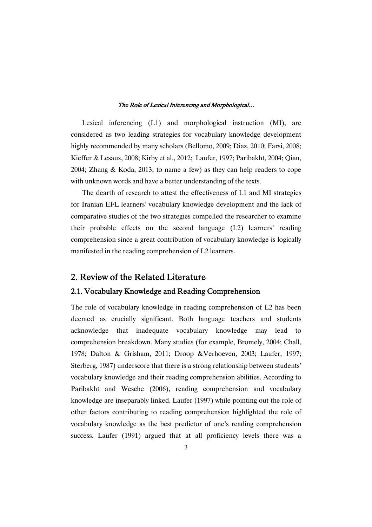Lexical inferencing (L1) and morphological instruction (MI), are considered as two leading strategies for vocabulary knowledge development highly recommended by many scholars (Bellomo, 2009; Diaz, 2010; Farsi, 2008; Kieffer & Lesaux, 2008; Kirby et al., 2012; Laufer, 1997; Paribakht, 2004; Qian, 2004; Zhang & Koda, 2013; to name a few) as they can help readers to cope with unknown words and have a better understanding of the texts.

The dearth of research to attest the effectiveness of L1 and MI strategies for Iranian EFL learners' vocabulary knowledge development and the lack of comparative studies of the two strategies compelled the researcher to examine their probable effects on the second language (L2) learners' reading comprehension since a great contribution of vocabulary knowledge is logically manifested in the reading comprehension of L2 learners.

# 2. Review of the Related Literature

### 2.1. Vocabulary Knowledge and Reading Comprehension

The role of vocabulary knowledge in reading comprehension of L2 has been deemed as crucially significant. Both language teachers and students acknowledge that inadequate vocabulary knowledge may lead to comprehension breakdown. Many studies (for example, Bromely, 2004; Chall, 1978; Dalton & Grisham, 2011; Droop &Verhoeven, 2003; Laufer, 1997; Sterberg, 1987) underscore that there is a strong relationship between students' vocabulary knowledge and their reading comprehension abilities. According to Paribakht and Wesche (2006), reading comprehension and vocabulary knowledge are inseparably linked. Laufer (1997) while pointing out the role of other factors contributing to reading comprehension highlighted the role of vocabulary knowledge as the best predictor of one's reading comprehension success. Laufer (1991) argued that at all proficiency levels there was a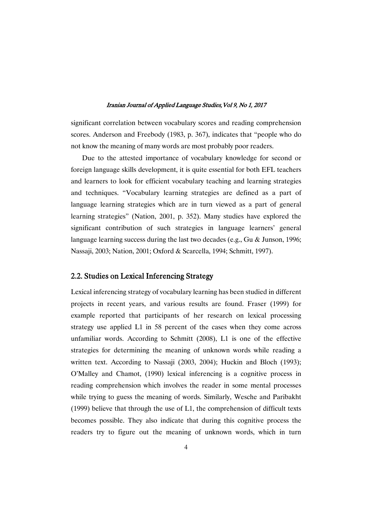significant correlation between vocabulary scores and reading comprehension scores. Anderson and Freebody (1983, p. 367), indicates that "people who do not know the meaning of many words are most probably poor readers.

Due to the attested importance of vocabulary knowledge for second or foreign language skills development, it is quite essential for both EFL teachers and learners to look for efficient vocabulary teaching and learning strategies and techniques. "Vocabulary learning strategies are defined as a part of language learning strategies which are in turn viewed as a part of general learning strategies" (Nation, 2001, p. 352). Many studies have explored the significant contribution of such strategies in language learners' general language learning success during the last two decades (e.g., Gu & Junson, 1996; Nassaji, 2003; Nation, 2001; Oxford & Scarcella, 1994; Schmitt, 1997).

### 2.2. Studies on Lexical Inferencing Strategy

Lexical inferencing strategy of vocabulary learning has been studied in different projects in recent years, and various results are found. Fraser (1999) for example reported that participants of her research on lexical processing strategy use applied L1 in 58 percent of the cases when they come across unfamiliar words. According to Schmitt (2008), L1 is one of the effective strategies for determining the meaning of unknown words while reading a written text. According to Nassaji (2003, 2004); Huckin and Bloch (1993); O'Malley and Chamot, (1990) lexical inferencing is a cognitive process in reading comprehension which involves the reader in some mental processes while trying to guess the meaning of words. Similarly, Wesche and Paribakht (1999) believe that through the use of L1, the comprehension of difficult texts becomes possible. They also indicate that during this cognitive process the readers try to figure out the meaning of unknown words, which in turn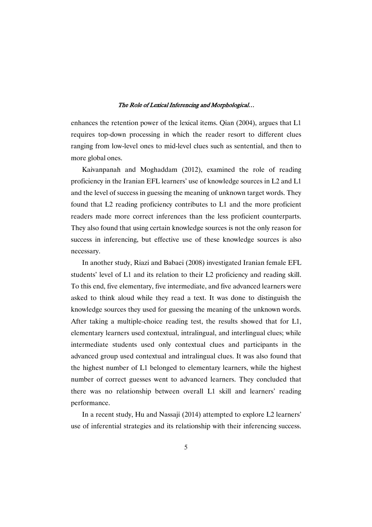enhances the retention power of the lexical items. Qian (2004), argues that L1 requires top-down processing in which the reader resort to different clues ranging from low-level ones to mid-level clues such as sentential, and then to more global ones.

Kaivanpanah and Moghaddam (2012), examined the role of reading proficiency in the Iranian EFL learners' use of knowledge sources in L2 and L1 and the level of success in guessing the meaning of unknown target words. They found that L2 reading proficiency contributes to L1 and the more proficient readers made more correct inferences than the less proficient counterparts. They also found that using certain knowledge sources is not the only reason for success in inferencing, but effective use of these knowledge sources is also necessary.

In another study, Riazi and Babaei (2008) investigated Iranian female EFL students' level of L1 and its relation to their L2 proficiency and reading skill. To this end, five elementary, five intermediate, and five advanced learners were asked to think aloud while they read a text. It was done to distinguish the knowledge sources they used for guessing the meaning of the unknown words. After taking a multiple-choice reading test, the results showed that for L1, elementary learners used contextual, intralingual, and interlingual clues; while intermediate students used only contextual clues and participants in the advanced group used contextual and intralingual clues. It was also found that the highest number of L1 belonged to elementary learners, while the highest number of correct guesses went to advanced learners. They concluded that there was no relationship between overall L1 skill and learners' reading performance.

In a recent study, Hu and Nassaji (2014) attempted to explore L2 learners' use of inferential strategies and its relationship with their inferencing success.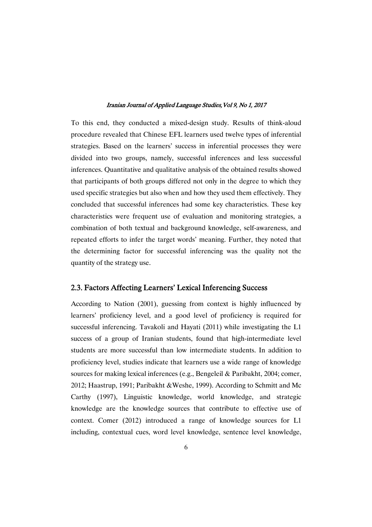To this end, they conducted a mixed-design study. Results of think-aloud procedure revealed that Chinese EFL learners used twelve types of inferential strategies. Based on the learners' success in inferential processes they were divided into two groups, namely, successful inferences and less successful inferences. Quantitative and qualitative analysis of the obtained results showed that participants of both groups differed not only in the degree to which they used specific strategies but also when and how they used them effectively. They concluded that successful inferences had some key characteristics. These key characteristics were frequent use of evaluation and monitoring strategies, a combination of both textual and background knowledge, self-awareness, and repeated efforts to infer the target words' meaning. Further, they noted that the determining factor for successful inferencing was the quality not the quantity of the strategy use.

### 2.3. Factors Affecting Learners' Lexical Inferencing Success

According to Nation (2001), guessing from context is highly influenced by learners' proficiency level, and a good level of proficiency is required for successful inferencing. Tavakoli and Hayati (2011) while investigating the L1 success of a group of Iranian students, found that high-intermediate level students are more successful than low intermediate students. In addition to proficiency level, studies indicate that learners use a wide range of knowledge sources for making lexical inferences (e.g., Bengeleil & Paribakht, 2004; comer, 2012; Haastrup, 1991; Paribakht &Weshe, 1999). According to Schmitt and Mc Carthy (1997), Linguistic knowledge, world knowledge, and strategic knowledge are the knowledge sources that contribute to effective use of context. Comer (2012) introduced a range of knowledge sources for L1 including, contextual cues, word level knowledge, sentence level knowledge,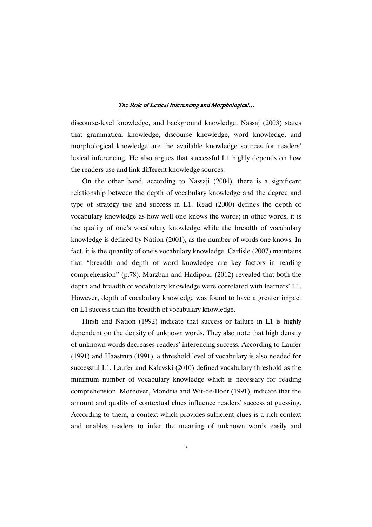discourse-level knowledge, and background knowledge. Nassaj (2003) states that grammatical knowledge, discourse knowledge, word knowledge, and morphological knowledge are the available knowledge sources for readers' lexical inferencing. He also argues that successful L1 highly depends on how the readers use and link different knowledge sources.

On the other hand, according to Nassaji (2004), there is a significant relationship between the depth of vocabulary knowledge and the degree and type of strategy use and success in L1. Read (2000) defines the depth of vocabulary knowledge as how well one knows the words; in other words, it is the quality of one's vocabulary knowledge while the breadth of vocabulary knowledge is defined by Nation (2001), as the number of words one knows. In fact, it is the quantity of one's vocabulary knowledge. Carlisle (2007) maintains that "breadth and depth of word knowledge are key factors in reading comprehension" (p.78). Marzban and Hadipour (2012) revealed that both the depth and breadth of vocabulary knowledge were correlated with learners' L1. However, depth of vocabulary knowledge was found to have a greater impact on L1 success than the breadth of vocabulary knowledge.

Hirsh and Nation (1992) indicate that success or failure in L1 is highly dependent on the density of unknown words. They also note that high density of unknown words decreases readers' inferencing success. According to Laufer (1991) and Haastrup (1991), a threshold level of vocabulary is also needed for successful L1. Laufer and Kalavski (2010) defined vocabulary threshold as the minimum number of vocabulary knowledge which is necessary for reading comprehension. Moreover, Mondria and Wit-de-Boer (1991), indicate that the amount and quality of contextual clues influence readers' success at guessing. According to them, a context which provides sufficient clues is a rich context and enables readers to infer the meaning of unknown words easily and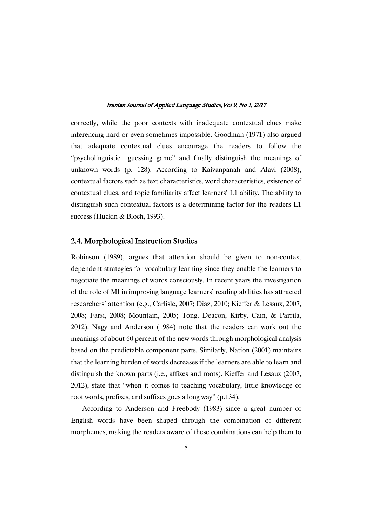correctly, while the poor contexts with inadequate contextual clues make inferencing hard or even sometimes impossible. Goodman (1971) also argued that adequate contextual clues encourage the readers to follow the "psycholinguistic guessing game" and finally distinguish the meanings of unknown words (p. 128). According to Kaivanpanah and Alavi (2008), contextual factors such as text characteristics, word characteristics, existence of contextual clues, and topic familiarity affect learners' L1 ability. The ability to distinguish such contextual factors is a determining factor for the readers L1 success (Huckin & Bloch, 1993).

### 2.4. Morphological Instruction Studies

Robinson (1989), argues that attention should be given to non-context dependent strategies for vocabulary learning since they enable the learners to negotiate the meanings of words consciously. In recent years the investigation of the role of MI in improving language learners' reading abilities has attracted researchers' attention (e.g., Carlisle, 2007; Diaz, 2010; Kieffer & Lesaux, 2007, 2008; Farsi, 2008; Mountain, 2005; Tong, Deacon, Kirby, Cain, & Parrila, 2012). Nagy and Anderson (1984) note that the readers can work out the meanings of about 60 percent of the new words through morphological analysis based on the predictable component parts. Similarly, Nation (2001) maintains that the learning burden of words decreases if the learners are able to learn and distinguish the known parts (i.e., affixes and roots). Kieffer and Lesaux (2007, 2012), state that "when it comes to teaching vocabulary, little knowledge of root words, prefixes, and suffixes goes a long way" (p.134).

According to Anderson and Freebody (1983) since a great number of English words have been shaped through the combination of different morphemes, making the readers aware of these combinations can help them to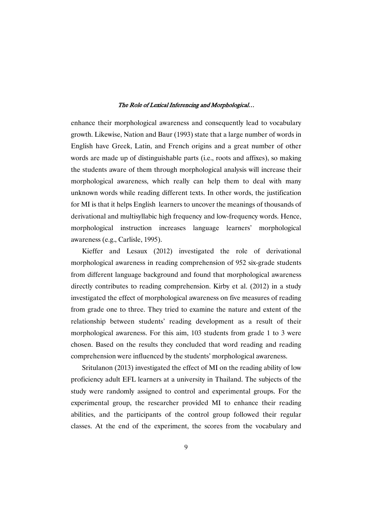enhance their morphological awareness and consequently lead to vocabulary growth. Likewise, Nation and Baur (1993) state that a large number of words in English have Greek, Latin, and French origins and a great number of other words are made up of distinguishable parts (i.e., roots and affixes), so making the students aware of them through morphological analysis will increase their morphological awareness, which really can help them to deal with many unknown words while reading different texts. In other words, the justification for MI is that it helps English learners to uncover the meanings of thousands of derivational and multisyllabic high frequency and low-frequency words. Hence, morphological instruction increases language learners' morphological awareness (e.g., Carlisle, 1995).

Kieffer and Lesaux (2012) investigated the role of derivational morphological awareness in reading comprehension of 952 six-grade students from different language background and found that morphological awareness directly contributes to reading comprehension. Kirby et al. (2012) in a study investigated the effect of morphological awareness on five measures of reading from grade one to three. They tried to examine the nature and extent of the relationship between students' reading development as a result of their morphological awareness. For this aim, 103 students from grade 1 to 3 were chosen. Based on the results they concluded that word reading and reading comprehension were influenced by the students' morphological awareness.

Sritulanon (2013) investigated the effect of MI on the reading ability of low proficiency adult EFL learners at a university in Thailand. The subjects of the study were randomly assigned to control and experimental groups. For the experimental group, the researcher provided MI to enhance their reading abilities, and the participants of the control group followed their regular classes. At the end of the experiment, the scores from the vocabulary and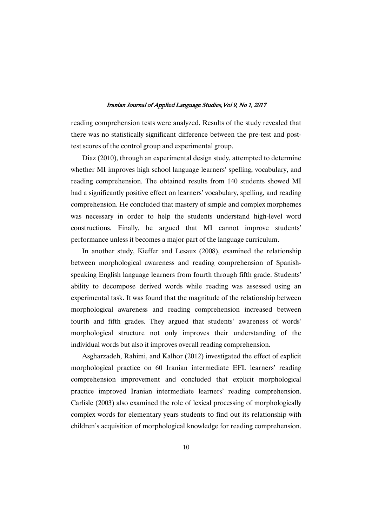reading comprehension tests were analyzed. Results of the study revealed that there was no statistically significant difference between the pre-test and posttest scores of the control group and experimental group.

Diaz (2010), through an experimental design study, attempted to determine whether MI improves high school language learners' spelling, vocabulary, and reading comprehension. The obtained results from 140 students showed MI had a significantly positive effect on learners' vocabulary, spelling, and reading comprehension. He concluded that mastery of simple and complex morphemes was necessary in order to help the students understand high-level word constructions. Finally, he argued that MI cannot improve students' performance unless it becomes a major part of the language curriculum.

In another study, Kieffer and Lesaux (2008), examined the relationship between morphological awareness and reading comprehension of Spanishspeaking English language learners from fourth through fifth grade. Students' ability to decompose derived words while reading was assessed using an experimental task. It was found that the magnitude of the relationship between morphological awareness and reading comprehension increased between fourth and fifth grades. They argued that students' awareness of words' morphological structure not only improves their understanding of the individual words but also it improves overall reading comprehension.

Asgharzadeh, Rahimi, and Kalhor (2012) investigated the effect of explicit morphological practice on 60 Iranian intermediate EFL learners' reading comprehension improvement and concluded that explicit morphological practice improved Iranian intermediate learners' reading comprehension. Carlisle (2003) also examined the role of lexical processing of morphologically complex words for elementary years students to find out its relationship with children's acquisition of morphological knowledge for reading comprehension.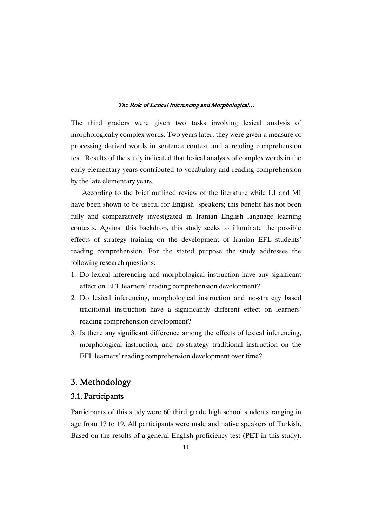The third graders were given two tasks involving lexical analysis of morphologically complex words. Two years later, they were given a measure of processing derived words in sentence context and a reading comprehension test. Results of the study indicated that lexical analysis of complex words in the early elementary years contributed to vocabulary and reading comprehension by the late elementary years.

According to the brief outlined review of the literature while L1 and MI have been shown to be useful for English speakers; this benefit has not been fully and comparatively investigated in Iranian English language learning contexts. Against this backdrop, this study seeks to illuminate the possible effects of strategy training on the development of Iranian EFL students' reading comprehension. For the stated purpose the study addresses the following research questions:

- 1. Do lexical inferencing and morphological instruction have any significant effect on EFL learners' reading comprehension development?
- 2. Do lexical inferencing, morphological instruction and no-strategy based traditional instruction have a significantly different effect on learners' reading comprehension development?
- 3. Is there any significant difference among the effects of lexical inferencing, morphological instruction, and no-strategy traditional instruction on the EFL learners' reading comprehension development over time?

# 3.Methodology

## 3.1. Participants

Participants of this study were 60 third grade high school students ranging in age from 17 to 19. All participants were male and native speakers of Turkish. Based on the results of a general English proficiency test (PET in this study),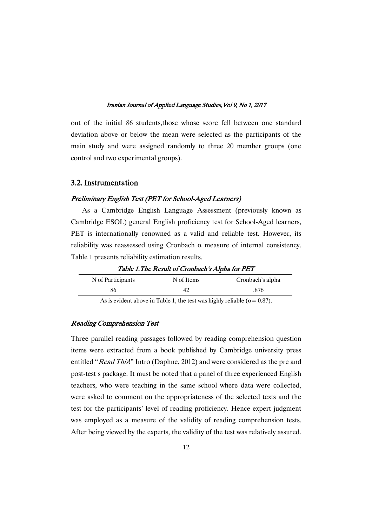out of the initial 86 students,those whose score fell between one standard deviation above or below the mean were selected as the participants of the main study and were assigned randomly to three 20 member groups (one control and two experimental groups).

### 3.2. Instrumentation

#### Preliminary English Test (PET for School-Aged Learners)

As a Cambridge English Language Assessment (previously known as Cambridge ESOL) general English proficiency test for School-Aged learners, PET is internationally renowned as a valid and reliable test. However, its reliability was reassessed using Cronbach  $\alpha$  measure of internal consistency. Table 1 presents reliability estimation results.

| Table 1. The Result of Cronbach's Alpha for PET |            |                  |  |  |  |
|-------------------------------------------------|------------|------------------|--|--|--|
| N of Participants                               | N of Items | Cronbach's alpha |  |  |  |
| 86                                              |            | -876             |  |  |  |

As is evident above in Table 1, the test was highly reliable ( $\alpha$  = 0.87).

#### Reading Comprehension Test

Three parallel reading passages followed by reading comprehension question items were extracted from a book published by Cambridge university press entitled "Read This!" Intro (Daphne, 2012) and were considered as the pre and post-test s package. It must be noted that a panel of three experienced English teachers, who were teaching in the same school where data were collected, were asked to comment on the appropriateness of the selected texts and the test for the participants' level of reading proficiency. Hence expert judgment was employed as a measure of the validity of reading comprehension tests. After being viewed by the experts, the validity of the test was relatively assured.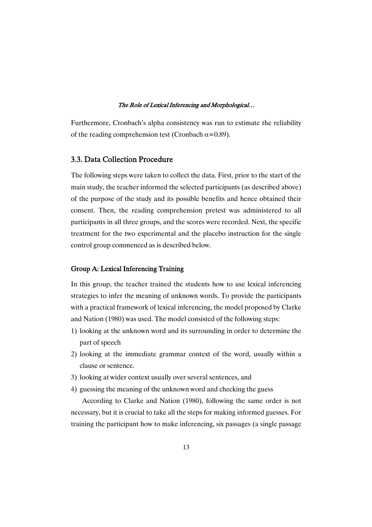Furthermore, Cronbach's alpha consistency was run to estimate the reliability of the reading comprehension test (Cronbach  $\alpha$ =0.89).

### 3.3. Data Collection Procedure

The following steps were taken to collect the data. First, prior to the start of the main study, the teacher informed the selected participants (as described above) of the purpose of the study and its possible benefits and hence obtained their consent. Then, the reading comprehension pretest was administered to all participants in all three groups, and the scores were recorded. Next, the specific treatment for the two experimental and the placebo instruction for the single control group commenced as is described below.

#### Group A: Lexical Inferencing Training

In this group, the teacher trained the students how to use lexical inferencing strategies to infer the meaning of unknown words. To provide the participants with a practical framework of lexical inferencing, the model proposed by Clarke and Nation (1980) was used. The model consisted of the following steps:

- 1) looking at the unknown word and its surrounding in order to determine the part of speech
- 2) looking at the immediate grammar context of the word, usually within a clause or sentence.
- 3) looking at wider context usually over several sentences, and
- 4) guessing the meaning of the unknown word and checking the guess

According to Clarke and Nation (1980), following the same order is not necessary, but it is crucial to take all the steps for making informed guesses. For training the participant how to make inferencing, six passages (a single passage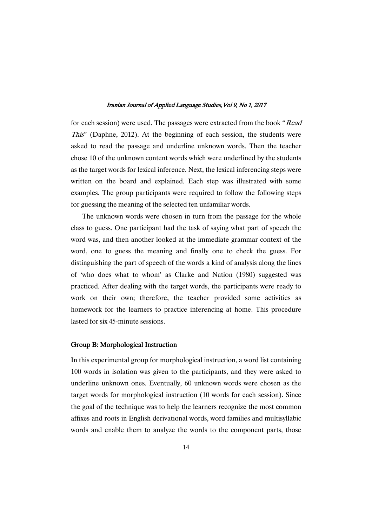for each session) were used. The passages were extracted from the book "Read This" (Daphne, 2012). At the beginning of each session, the students were asked to read the passage and underline unknown words. Then the teacher chose 10 of the unknown content words which were underlined by the students as the target words for lexical inference. Next, the lexical inferencing steps were written on the board and explained. Each step was illustrated with some examples. The group participants were required to follow the following steps for guessing the meaning of the selected ten unfamiliar words.

The unknown words were chosen in turn from the passage for the whole class to guess. One participant had the task of saying what part of speech the word was, and then another looked at the immediate grammar context of the word, one to guess the meaning and finally one to check the guess. For distinguishing the part of speech of the words a kind of analysis along the lines of 'who does what to whom' as Clarke and Nation (1980) suggested was practiced. After dealing with the target words, the participants were ready to work on their own; therefore, the teacher provided some activities as homework for the learners to practice inferencing at home. This procedure lasted for six 45-minute sessions.

#### Group B: Morphological Instruction

In this experimental group for morphological instruction, a word list containing 100 words in isolation was given to the participants, and they were asked to underline unknown ones. Eventually, 60 unknown words were chosen as the target words for morphological instruction (10 words for each session). Since the goal of the technique was to help the learners recognize the most common affixes and roots in English derivational words, word families and multisyllabic words and enable them to analyze the words to the component parts, those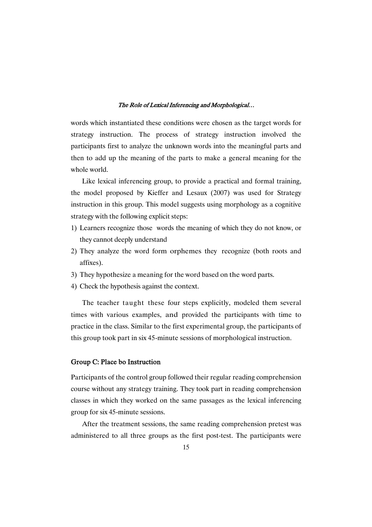words which instantiated these conditions were chosen as the target words for strategy instruction. The process of strategy instruction involved the participants first to analyze the unknown words into the meaningful parts and then to add up the meaning of the parts to make a general meaning for the whole world.

Like lexical inferencing group, to provide a practical and formal training, the model proposed by Kieffer and Lesaux (2007) was used for Strategy instruction in this group. This model suggests using morphology as a cognitive strategy with the following explicit steps:

- 1) Learners recognize those words the meaning of which they do not know, or they cannot deeply understand
- 2) They analyze the word form orphemes they recognize (both roots and affixes).
- 3) They hypothesize a meaning for the word based on the word parts.
- 4) Check the hypothesis against the context.

The teacher taught these four steps explicitly, modeled them several times with various examples, and provided the participants with time to practice in the class. Similar to the first experimental group, the participants of this group took part in six 45-minute sessions of morphological instruction.

### Group C: Place bo Instruction

Participants of the control group followed their regular reading comprehension course without any strategy training. They took part in reading comprehension classes in which they worked on the same passages as the lexical inferencing group for six 45-minute sessions.

After the treatment sessions, the same reading comprehension pretest was administered to all three groups as the first post-test. The participants were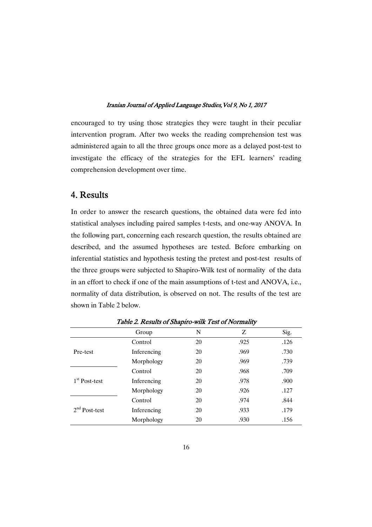encouraged to try using those strategies they were taught in their peculiar intervention program. After two weeks the reading comprehension test was administered again to all the three groups once more as a delayed post-test to investigate the efficacy of the strategies for the EFL learners' reading comprehension development over time.

# 4. Results

In order to answer the research questions, the obtained data were fed into statistical analyses including paired samples t-tests, and one-way ANOVA. In the following part, concerning each research question, the results obtained are described, and the assumed hypotheses are tested. Before embarking on inferential statistics and hypothesis testing the pretest and post-test results of the three groups were subjected to Shapiro-Wilk test of normality of the data in an effort to check if one of the main assumptions of t-test and ANOVA, i.e., normality of data distribution, is observed on not. The results of the test are shown in Table 2 below.

|                 | Group       | N  | Ζ    | Sig. |
|-----------------|-------------|----|------|------|
|                 | Control     | 20 | .925 | .126 |
| Pre-test        | Inferencing | 20 | .969 | .730 |
|                 | Morphology  | 20 | .969 | .739 |
|                 | Control     | 20 | .968 | .709 |
| $1st$ Post-test | Inferencing | 20 | .978 | .900 |
|                 | Morphology  | 20 | .926 | .127 |
| $2nd$ Post-test | Control     | 20 | .974 | .844 |
|                 | Inferencing | 20 | .933 | .179 |
|                 | Morphology  | 20 | .930 | .156 |

Table 2. Results of Shapiro-wilk Test of Normality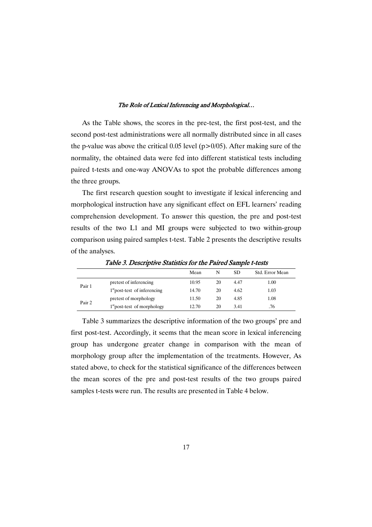As the Table shows, the scores in the pre-test, the first post-test, and the second post-test administrations were all normally distributed since in all cases the p-value was above the critical 0.05 level ( $p>0/05$ ). After making sure of the normality, the obtained data were fed into different statistical tests including paired t-tests and one-way ANOVAs to spot the probable differences among the three groups.

The first research question sought to investigate if lexical inferencing and morphological instruction have any significant effect on EFL learners' reading comprehension development. To answer this question, the pre and post-test results of the two L1 and MI groups were subjected to two within-group comparison using paired samples t-test. Table 2 presents the descriptive results of the analyses.

|        |                                | Mean  | N  | SD   | Std. Error Mean |
|--------|--------------------------------|-------|----|------|-----------------|
| Pair 1 | pretest of inferencing         | 10.95 | 20 | 4.47 | 1.00            |
|        | $1st$ post-test of inferencing | 14.70 | 20 | 4.62 | 1.03            |
| Pair 2 | pretest of morphology          | 11.50 | 20 | 4.85 | 1.08            |
|        | $1st$ post-test of morphology  | 12.70 | 20 | 3.41 | .76             |

Table 3. Descriptive Statistics for the Paired Sample t-tests

Table 3 summarizes the descriptive information of the two groups' pre and first post-test. Accordingly, it seems that the mean score in lexical inferencing group has undergone greater change in comparison with the mean of morphology group after the implementation of the treatments. However, As stated above, to check for the statistical significance of the differences between the mean scores of the pre and post-test results of the two groups paired samples t-tests were run. The results are presented in Table 4 below.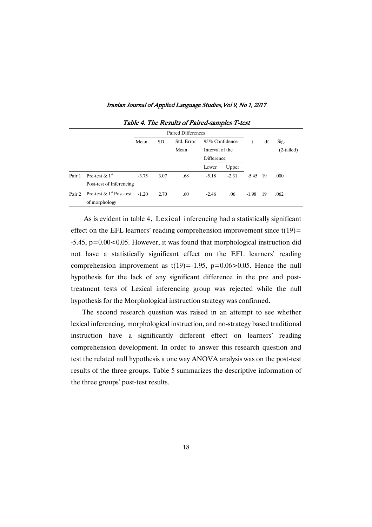|        |                                         | Paired Differences |      |            |                 |         |         |      |            |
|--------|-----------------------------------------|--------------------|------|------------|-----------------|---------|---------|------|------------|
|        |                                         | Mean               | SD   | Std. Error | 95% Confidence  |         | t       | df   | Sig.       |
|        |                                         |                    |      | Mean       | Interval of the |         |         |      | (2-tailed) |
|        |                                         |                    |      |            | Difference      |         |         |      |            |
|        |                                         |                    |      |            | Lower           | Upper   |         |      |            |
| Pair 1 | Pre-test $& 1st$                        | $-3.75$            | 3.07 | .68        | $-5.18$         | $-2.31$ | $-5.45$ | - 19 | .000       |
|        | Post-test of Inferencing                |                    |      |            |                 |         |         |      |            |
| Pair 2 | Pre-test $\&$ 1 <sup>st</sup> Post-test | $-1.20$            | 2.70 | .60        | $-2.46$         | .06     | $-1.98$ | -19  | .062       |
|        | of morphology                           |                    |      |            |                 |         |         |      |            |

Table 4. The Results of Paired-samples T-test

As is evident in table 4, Lexical inferencing had a statistically significant effect on the EFL learners' reading comprehension improvement since  $t(19)$  = -5.45, p=0.00<0.05. However, it was found that morphological instruction did not have a statistically significant effect on the EFL learners' reading comprehension improvement as  $t(19)=-1.95$ ,  $p=0.06>0.05$ . Hence the null hypothesis for the lack of any significant difference in the pre and posttreatment tests of Lexical inferencing group was rejected while the null hypothesis for the Morphological instruction strategy was confirmed.

The second research question was raised in an attempt to see whether lexical inferencing, morphological instruction, and no-strategy based traditional instruction have a significantly different effect on learners' reading comprehension development. In order to answer this research question and test the related null hypothesis a one way ANOVA analysis was on the post-test results of the three groups. Table 5 summarizes the descriptive information of the three groups' post-test results.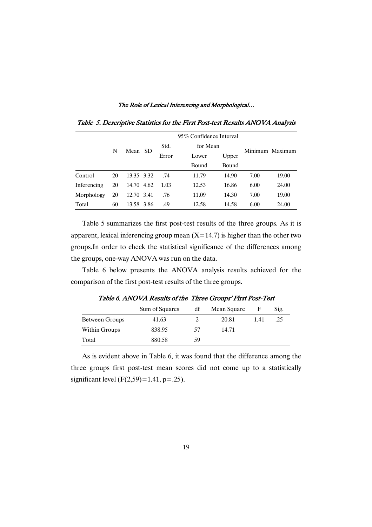|             |    |            |       | 95% Confidence Interval |       |      | Minimum Maximum |
|-------------|----|------------|-------|-------------------------|-------|------|-----------------|
|             |    |            | Std.  | for Mean                |       |      |                 |
|             | N  | Mean SD    | Error | Lower                   | Upper |      |                 |
|             |    |            |       | Bound                   | Bound |      |                 |
| Control     | 20 | 13.35 3.32 | .74   | 11.79                   | 14.90 | 7.00 | 19.00           |
| Inferencing | 20 | 14.70 4.62 | 1.03  | 12.53                   | 16.86 | 6.00 | 24.00           |
| Morphology  | 20 | 12.70 3.41 | .76   | 11.09                   | 14.30 | 7.00 | 19.00           |
| Total       | 60 | 13.58 3.86 | .49   | 12.58                   | 14.58 | 6.00 | 24.00           |

Table 5. Descriptive Statistics for the First Post-test Results ANOVA Analysis

Table 5 summarizes the first post-test results of the three groups. As it is apparent, lexical inferencing group mean  $(X=14.7)$  is higher than the other two groups.In order to check the statistical significance of the differences among the groups, one-way ANOVA was run on the data.

Table 6 below presents the ANOVA analysis results achieved for the comparison of the first post-test results of the three groups.

|                | Sum of Squares | df | Mean Square | F    | Sig. |
|----------------|----------------|----|-------------|------|------|
| Between Groups | 41.63          |    | 20.81       | 1.41 | .25  |
| Within Groups  | 838.95         | 57 | 14.71       |      |      |
| Total          | 880.58         | 59 |             |      |      |

Table 6. ANOVA Results of the Three Groups' First Post-Test

As is evident above in Table 6, it was found that the difference among the three groups first post-test mean scores did not come up to a statistically significant level  $(F(2,59)=1.41, p=.25)$ .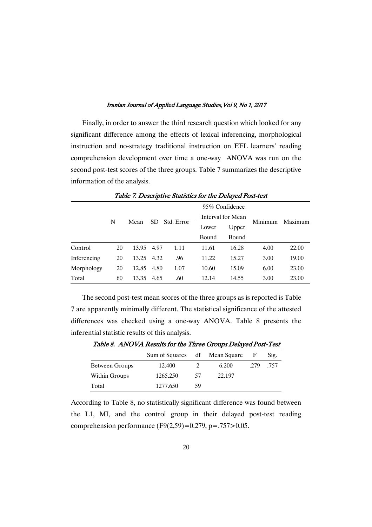Finally, in order to answer the third research question which looked for any significant difference among the effects of lexical inferencing, morphological instruction and no-strategy traditional instruction on EFL learners' reading comprehension development over time a one-way ANOVA was run on the second post-test scores of the three groups. Table 7 summarizes the descriptive information of the analysis.

|             |      |       |            |                   |       | 95% Confidence |         |       |  |  |
|-------------|------|-------|------------|-------------------|-------|----------------|---------|-------|--|--|
|             |      |       |            | Interval for Mean |       |                |         |       |  |  |
| N           | Mean | SD.   | Std. Error | Lower             | Upper | Minimum        | Maximum |       |  |  |
|             |      |       |            |                   | Bound | Bound          |         |       |  |  |
| Control     | 20   | 13.95 | 4.97       | 1.11              | 11.61 | 16.28          | 4.00    | 22.00 |  |  |
| Inferencing | 20   | 13.25 | 4.32       | .96               | 11.22 | 15.27          | 3.00    | 19.00 |  |  |
| Morphology  | 20   | 12.85 | 4.80       | 1.07              | 10.60 | 15.09          | 6.00    | 23.00 |  |  |
| Total       | 60   | 13.35 | 4.65       | .60               | 12.14 | 14.55          | 3.00    | 23.00 |  |  |

Table 7. Descriptive Statistics for the Delayed Post-test

The second post-test mean scores of the three groups as is reported is Table 7 are apparently minimally different. The statistical significance of the attested differences was checked using a one-way ANOVA. Table 8 presents the inferential statistic results of this analysis.

Table 8. ANOVA Results for the Three Groups Delayed Post-Test

|                | Sum of Squares df Mean Square |    |        | Е    | Sig. |
|----------------|-------------------------------|----|--------|------|------|
| Between Groups | 12.400                        |    | 6.200  | .279 | .757 |
| Within Groups  | 1265.250                      | 57 | 22.197 |      |      |
| Total          | 1277.650                      | 59 |        |      |      |

According to Table 8, no statistically significant difference was found between the L1, MI, and the control group in their delayed post-test reading comprehension performance  $(F9(2,59)=0.279, p=.757>0.05.$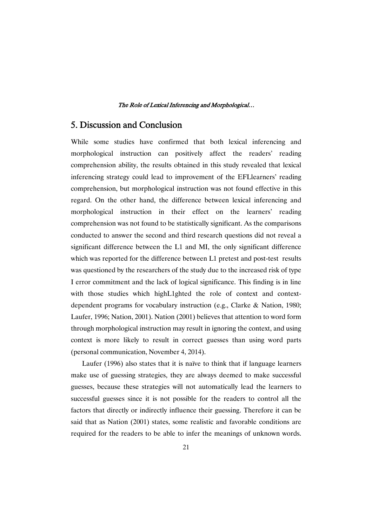# 5. Discussion and Conclusion

While some studies have confirmed that both lexical inferencing and morphological instruction can positively affect the readers' reading comprehension ability, the results obtained in this study revealed that lexical inferencing strategy could lead to improvement of the EFLlearners' reading comprehension, but morphological instruction was not found effective in this regard. On the other hand, the difference between lexical inferencing and morphological instruction in their effect on the learners' reading comprehension was not found to be statistically significant. As the comparisons conducted to answer the second and third research questions did not reveal a significant difference between the L1 and MI, the only significant difference which was reported for the difference between L1 pretest and post-test results was questioned by the researchers of the study due to the increased risk of type I error commitment and the lack of logical significance. This finding is in line with those studies which highL1ghted the role of context and contextdependent programs for vocabulary instruction (e.g., Clarke & Nation, 1980; Laufer, 1996; Nation, 2001). Nation (2001) believes that attention to word form through morphological instruction may result in ignoring the context, and using context is more likely to result in correct guesses than using word parts (personal communication, November 4, 2014).

Laufer (1996) also states that it is naïve to think that if language learners make use of guessing strategies, they are always deemed to make successful guesses, because these strategies will not automatically lead the learners to successful guesses since it is not possible for the readers to control all the factors that directly or indirectly influence their guessing. Therefore it can be said that as Nation (2001) states, some realistic and favorable conditions are required for the readers to be able to infer the meanings of unknown words.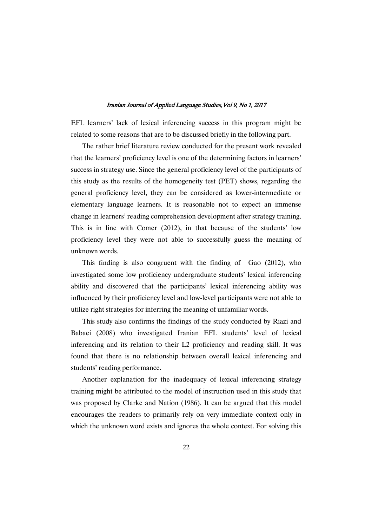EFL learners' lack of lexical inferencing success in this program might be related to some reasons that are to be discussed briefly in the following part.

The rather brief literature review conducted for the present work revealed that the learners' proficiency level is one of the determining factors in learners' success in strategy use. Since the general proficiency level of the participants of this study as the results of the homogeneity test (PET) shows, regarding the general proficiency level, they can be considered as lower-intermediate or elementary language learners. It is reasonable not to expect an immense change in learners' reading comprehension development after strategy training. This is in line with Comer (2012), in that because of the students' low proficiency level they were not able to successfully guess the meaning of unknown words.

This finding is also congruent with the finding of Gao (2012), who investigated some low proficiency undergraduate students' lexical inferencing ability and discovered that the participants' lexical inferencing ability was influenced by their proficiency level and low-level participants were not able to utilize right strategies for inferring the meaning of unfamiliar words.

This study also confirms the findings of the study conducted by Riazi and Babaei (2008) who investigated Iranian EFL students' level of lexical inferencing and its relation to their L2 proficiency and reading skill. It was found that there is no relationship between overall lexical inferencing and students' reading performance.

Another explanation for the inadequacy of lexical inferencing strategy training might be attributed to the model of instruction used in this study that was proposed by Clarke and Nation (1986). It can be argued that this model encourages the readers to primarily rely on very immediate context only in which the unknown word exists and ignores the whole context. For solving this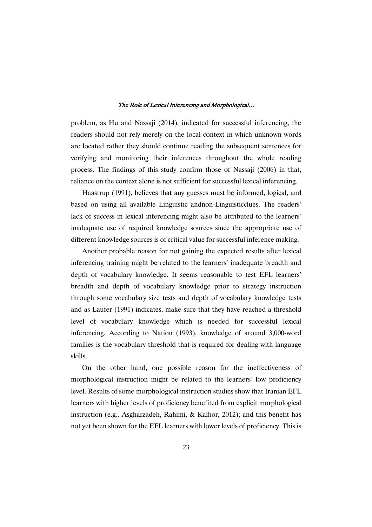problem, as Hu and Nassaji (2014), indicated for successful inferencing, the readers should not rely merely on the local context in which unknown words are located rather they should continue reading the subsequent sentences for verifying and monitoring their inferences throughout the whole reading process. The findings of this study confirm those of Nassaji (2006) in that, reliance on the context alone is not sufficient for successful lexical inferencing.

Haastrup (1991), believes that any guesses must be informed, logical, and based on using all available Linguistic andnon-Linguisticclues. The readers' lack of success in lexical inferencing might also be attributed to the learners' inadequate use of required knowledge sources since the appropriate use of different knowledge sources is of critical value for successful inference making.

Another probable reason for not gaining the expected results after lexical inferencing training might be related to the learners' inadequate breadth and depth of vocabulary knowledge. It seems reasonable to test EFL learners' breadth and depth of vocabulary knowledge prior to strategy instruction through some vocabulary size tests and depth of vocabulary knowledge tests and as Laufer (1991) indicates, make sure that they have reached a threshold level of vocabulary knowledge which is needed for successful lexical inferencing. According to Nation (1993), knowledge of around 3,000-word families is the vocabulary threshold that is required for dealing with language skills.

On the other hand, one possible reason for the ineffectiveness of morphological instruction might be related to the learners' low proficiency level. Results of some morphological instruction studies show that Iranian EFL learners with higher levels of proficiency benefited from explicit morphological instruction (e.g., Asgharzadeh, Rahimi, & Kalhor, 2012); and this benefit has not yet been shown for the EFL learners with lower levels of proficiency. This is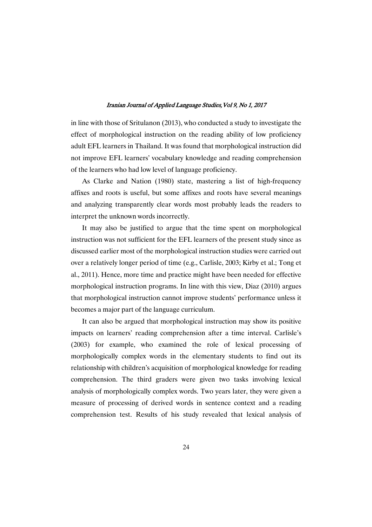in line with those of Sritulanon (2013), who conducted a study to investigate the effect of morphological instruction on the reading ability of low proficiency adult EFL learners in Thailand. It was found that morphological instruction did not improve EFL learners' vocabulary knowledge and reading comprehension of the learners who had low level of language proficiency.

As Clarke and Nation (1980) state, mastering a list of high-frequency affixes and roots is useful, but some affixes and roots have several meanings and analyzing transparently clear words most probably leads the readers to interpret the unknown words incorrectly.

It may also be justified to argue that the time spent on morphological instruction was not sufficient for the EFL learners of the present study since as discussed earlier most of the morphological instruction studies were carried out over a relatively longer period of time (e.g., Carlisle, 2003; Kirby et al.; Tong et al., 2011). Hence, more time and practice might have been needed for effective morphological instruction programs. In line with this view, Diaz (2010) argues that morphological instruction cannot improve students' performance unless it becomes a major part of the language curriculum.

It can also be argued that morphological instruction may show its positive impacts on learners' reading comprehension after a time interval. Carlisle's (2003) for example, who examined the role of lexical processing of morphologically complex words in the elementary students to find out its relationship with children's acquisition of morphological knowledge for reading comprehension. The third graders were given two tasks involving lexical analysis of morphologically complex words. Two years later, they were given a measure of processing of derived words in sentence context and a reading comprehension test. Results of his study revealed that lexical analysis of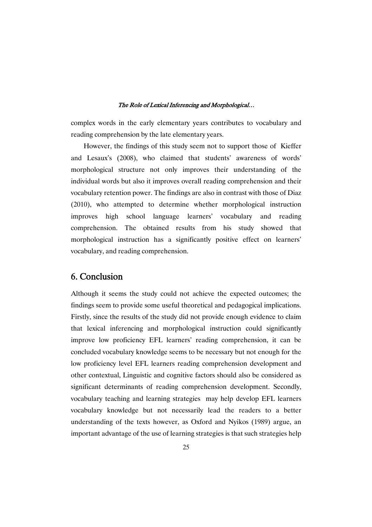complex words in the early elementary years contributes to vocabulary and reading comprehension by the late elementary years.

However, the findings of this study seem not to support those of Kieffer and Lesaux's (2008), who claimed that students' awareness of words' morphological structure not only improves their understanding of the individual words but also it improves overall reading comprehension and their vocabulary retention power. The findings are also in contrast with those of Diaz (2010), who attempted to determine whether morphological instruction improves high school language learners' vocabulary and reading comprehension. The obtained results from his study showed that morphological instruction has a significantly positive effect on learners' vocabulary, and reading comprehension.

# 6. Conclusion

Although it seems the study could not achieve the expected outcomes; the findings seem to provide some useful theoretical and pedagogical implications. Firstly, since the results of the study did not provide enough evidence to claim that lexical inferencing and morphological instruction could significantly improve low proficiency EFL learners' reading comprehension, it can be concluded vocabulary knowledge seems to be necessary but not enough for the low proficiency level EFL learners reading comprehension development and other contextual, Linguistic and cognitive factors should also be considered as significant determinants of reading comprehension development. Secondly, vocabulary teaching and learning strategies may help develop EFL learners vocabulary knowledge but not necessarily lead the readers to a better understanding of the texts however, as Oxford and Nyikos (1989) argue, an important advantage of the use of learning strategies is that such strategies help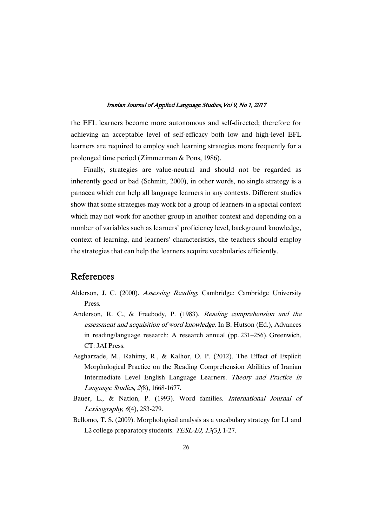the EFL learners become more autonomous and self-directed; therefore for achieving an acceptable level of self-efficacy both low and high-level EFL learners are required to employ such learning strategies more frequently for a prolonged time period (Zimmerman & Pons, 1986).

Finally, strategies are value-neutral and should not be regarded as inherently good or bad (Schmitt, 2000), in other words, no single strategy is a panacea which can help all language learners in any contexts. Different studies show that some strategies may work for a group of learners in a special context which may not work for another group in another context and depending on a number of variables such as learners' proficiency level, background knowledge, context of learning, and learners' characteristics, the teachers should employ the strategies that can help the learners acquire vocabularies efficiently.

# References

- Alderson, J. C. (2000). Assessing Reading. Cambridge: Cambridge University Press.
- Anderson, R. C., & Freebody, P. (1983). Reading comprehension and the assessment and acquisition of word knowledge. In B. Hutson (Ed.), Advances in reading/language research: A research annual (pp. 231–256). Greenwich, CT: JAI Press.
- Asgharzade, M., Rahimy, R., & Kalhor, O. P. (2012). The Effect of Explicit Morphological Practice on the Reading Comprehension Abilities of Iranian Intermediate Level English Language Learners. Theory and Practice in Language Studies, 2(8), 1668-1677.
- Bauer, L., & Nation, P. (1993). Word families. International Journal of Lexicography, <sup>6</sup>(4), 253-279.
- Bellomo, T. S. (2009). Morphological analysis as a vocabulary strategy for L1 and L2 college preparatory students. TESL-EJ, 13(3), 1-27.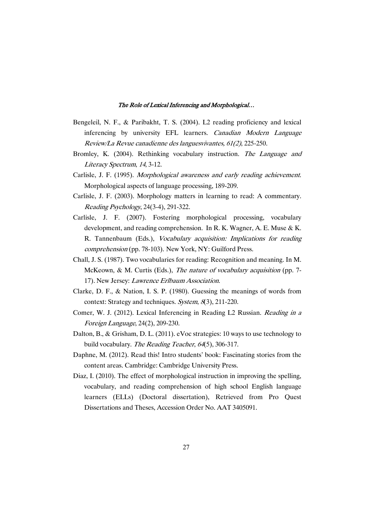- Bengeleil, N. F., & Paribakht, T. S. (2004). L2 reading proficiency and lexical inferencing by university EFL learners. Canadian Modern Language Review/La Revue canadienne des languesvivantes, 61(2), 225-250.
- Bromley, K. (2004). Rethinking vocabulary instruction. The Language and Literacy Spectrum, <sup>14</sup>, 3-12.
- Carlisle, J. F. (1995). Morphological awareness and early reading achievement. Morphological aspects of language processing, 189-209.
- Carlisle, J. F. (2003). Morphology matters in learning to read: A commentary. Reading Psychology, 24(3-4), 291-322.
- Carlisle, J. F. (2007). Fostering morphological processing, vocabulary development, and reading comprehension. In R. K. Wagner, A. E. Muse & K. R. Tannenbaum (Eds.), Vocabulary acquisition: Implications for reading comprehension (pp. 78-103). New York, NY: Guilford Press.
- Chall, J. S. (1987). Two vocabularies for reading: Recognition and meaning. In M. McKeown, & M. Curtis (Eds.), The nature of vocabulary acquisition (pp. 7- 17). New Jersey: Lawrence Erlbaum Association.
- Clarke, D. F., & Nation, I. S. P. (1980). Guessing the meanings of words from context: Strategy and techniques. System, <sup>8</sup>(3), 211-220.
- Comer, W. J. (2012). Lexical Inferencing in Reading L2 Russian. Reading in <sup>a</sup> Foreign Language, 24(2), 209-230.
- Dalton, B., & Grisham, D. L. (2011). eVoc strategies: 10 ways to use technology to build vocabulary. The Reading Teacher, 64(5), 306-317.
- Daphne, M. (2012). Read this! Intro students' book: Fascinating stories from the content areas. Cambridge: Cambridge University Press.
- Diaz, I. (2010). The effect of morphological instruction in improving the spelling, vocabulary, and reading comprehension of high school English language learners (ELLs) (Doctoral dissertation), Retrieved from Pro Quest Dissertations and Theses, Accession Order No. AAT 3405091.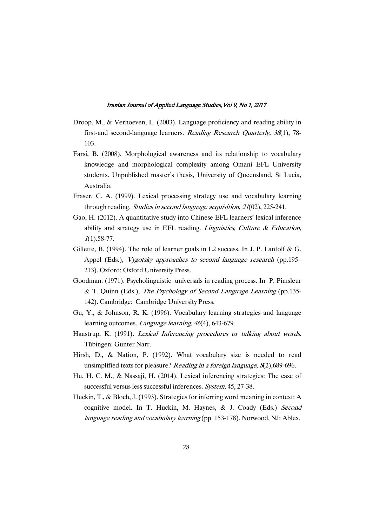- Droop, M., & Verhoeven, L. (2003). Language proficiency and reading ability in first-and second-language learners. Reading Research Quarterly, 38(1), 78-103.
- Farsi, B. (2008). Morphological awareness and its relationship to vocabulary knowledge and morphological complexity among Omani EFL University students. Unpublished master's thesis, University of Queensland, St Lucia, Australia.
- Fraser, C. A. (1999). Lexical processing strategy use and vocabulary learning through reading. Studies in second language acquisition, <sup>21</sup>(02), 225-241.
- Gao, H. (2012). A quantitative study into Chinese EFL learners' lexical inference ability and strategy use in EFL reading. *Linguistics, Culture & Education*,  $1(1)$ .58-77.
- Gillette, B. (1994). The role of learner goals in L2 success. In J. P. Lantolf & G. Appel (Eds.), *Vygotsky approaches to second language research* (pp.195– 213). Oxford: Oxford University Press.
- Goodman. (1971). Psycholinguistic universals in reading process. In P. Pimsleur & T. Quinn (Eds.), The Psychology of Second Language Learning (pp.135- 142). Cambridge: Cambridge University Press.
- Gu, Y., & Johnson, R. K. (1996). Vocabulary learning strategies and language learning outcomes. *Language learning*, 46(4), 643-679.
- Haastrup, K. (1991). Lexical Inferencing procedures or talking about words. Tübingen: Gunter Narr.
- Hirsh, D., & Nation, P. (1992). What vocabulary size is needed to read unsimplified texts for pleasure? Reading in a foreign language, 8(2),689-696.
- Hu, H. C. M., & Nassaji, H. (2014). Lexical inferencing strategies: The case of successful versus less successful inferences. System, 45, 27-38.
- Huckin, T., & Bloch, J. (1993). Strategies for inferring word meaning in context: A cognitive model. In T. Huckin, M. Haynes, & J. Coady (Eds.) Second language reading and vocabulary learning (pp. 153-178). Norwood, NJ: Ablex.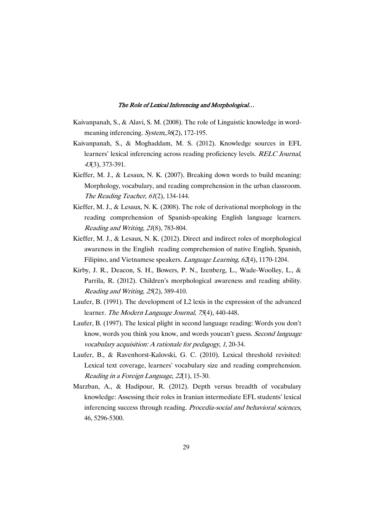- Kaivanpanah, S., & Alavi, S. M. (2008). The role of Linguistic knowledge in wordmeaning inferencing. System, 36(2), 172-195.
- Kaivanpanah, S., & Moghaddam, M. S. (2012). Knowledge sources in EFL learners' lexical inferencing across reading proficiency levels. RELC Journal, <sup>43</sup>(3), 373-391.
- Kieffer, M. J., & Lesaux, N. K. (2007). Breaking down words to build meaning: Morphology, vocabulary, and reading comprehension in the urban classroom. The Reading Teacher, 61(2), 134-144.
- Kieffer, M. J., & Lesaux, N. K. (2008). The role of derivational morphology in the reading comprehension of Spanish-speaking English language learners. Reading and Writing, <sup>21</sup>(8), 783-804.
- Kieffer, M. J., & Lesaux, N. K. (2012). Direct and indirect roles of morphological awareness in the English reading comprehension of native English, Spanish, Filipino, and Vietnamese speakers. Language Learning, 62(4), 1170-1204.
- Kirby, J. R., Deacon, S. H., Bowers, P. N., Izenberg, L., Wade-Woolley, L., & Parrila, R. (2012). Children's morphological awareness and reading ability. Reading and Writing, <sup>25</sup>(2), 389-410.
- Laufer, B. (1991). The development of L2 lexis in the expression of the advanced learner. The Modern Language Journal, 75(4), 440-448.
- Laufer, B. (1997). The lexical plight in second language reading: Words you don't know, words you think you know, and words youcan't guess. Second language vocabulary acquisition: <sup>A</sup> rationale for pedagogy, <sup>1</sup>, 20-34.
- Laufer, B., & Ravenhorst-Kalovski, G. C. (2010). Lexical threshold revisited: Lexical text coverage, learners' vocabulary size and reading comprehension. Reading in <sup>a</sup> Foreign Language, <sup>22</sup>(1), 15-30.
- Marzban, A., & Hadipour, R. (2012). Depth versus breadth of vocabulary knowledge: Assessing their roles in Iranian intermediate EFL students' lexical inferencing success through reading. Procedia-social and behavioral sciences, 46, 5296-5300.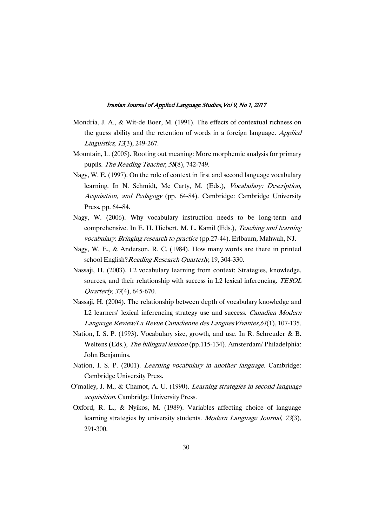- Mondria, J. A., & Wit-de Boer, M. (1991). The effects of contextual richness on the guess ability and the retention of words in a foreign language. Applied Linguistics, <sup>12</sup>(3), 249-267.
- Mountain, L. (2005). Rooting out meaning: More morphemic analysis for primary pupils. The Reading Teacher, 58(8), 742-749.
- Nagy, W. E. (1997). On the role of context in first and second language vocabulary learning. In N. Schmidt, Mc Carty, M. (Eds.), Vocabulary: Description, Acquisition, and Pedagogy (pp. 64-84). Cambridge: Cambridge University Press, pp. 64–84.
- Nagy, W. (2006). Why vocabulary instruction needs to be long-term and comprehensive. In E. H. Hiebert, M. L. Kamil (Eds.), Teaching and learning vocabulary: Bringing research to practice (pp.27-44). Erlbaum, Mahwah, NJ.
- Nagy, W. E., & Anderson, R. C. (1984). How many words are there in printed school English? Reading Research Quarterly, 19, 304-330.
- Nassaji, H. (2003). L2 vocabulary learning from context: Strategies, knowledge, sources, and their relationship with success in L2 lexical inferencing. TESOL Quarterly, 37(4), 645-670.
- Nassaji, H. (2004). The relationship between depth of vocabulary knowledge and L2 learners' lexical inferencing strategy use and success. Canadian Modern Language Review/La Revue Canadienne des LanguesVivantes,61(1), 107-135.
- Nation, I. S. P. (1993). Vocabulary size, growth, and use. In R. Schreuder & B. Weltens (Eds.), *The bilingual lexicon* (pp.115-134). Amsterdam/ Philadelphia: John Benjamins.
- Nation, I. S. P. (2001). Learning vocabulary in another language. Cambridge: Cambridge University Press.
- O'malley, J. M., & Chamot, A. U. (1990). Learning strategies in second language acquisition. Cambridge University Press.
- Oxford, R. L., & Nyikos, M. (1989). Variables affecting choice of language learning strategies by university students. *Modern Language Journal*, 73(3), 291-300.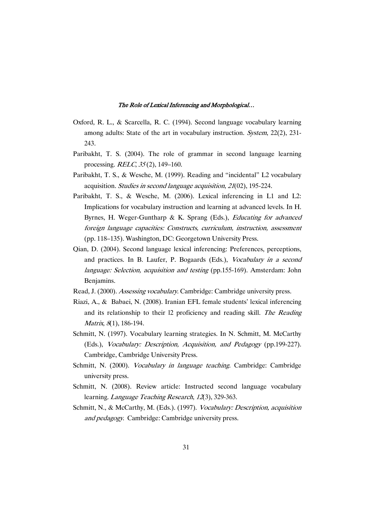- Oxford, R. L., & Scarcella, R. C. (1994). Second language vocabulary learning among adults: State of the art in vocabulary instruction. System, 22(2), 231-243.
- Paribakht, T. S. (2004). The role of grammar in second language learning processing. RELC, <sup>35</sup> (2), 149–160.
- Paribakht, T. S., & Wesche, M. (1999). Reading and "incidental" L2 vocabulary acquisition. Studies in second language acquisition, <sup>21</sup>(02), 195-224.
- Paribakht, T. S., & Wesche, M. (2006). Lexical inferencing in L1 and L2: Implications for vocabulary instruction and learning at advanced levels. In H. Byrnes, H. Weger-Guntharp & K. Sprang (Eds.), *Educating for advanced* foreign language capacities: Constructs, curriculum, instruction, assessment (pp. 118–135). Washington, DC: Georgetown University Press.
- Qian, D. (2004). Second language lexical inferencing: Preferences, perceptions, and practices. In B. Laufer, P. Bogaards (Eds.), Vocabulary in <sup>a</sup> second language: Selection, acquisition and testing (pp.155-169). Amsterdam: John Benjamins.
- Read, J. (2000). Assessing vocabulary. Cambridge: Cambridge university press.
- Riazi, A., & Babaei, N. (2008). Iranian EFL female students' lexical inferencing and its relationship to their l2 proficiency and reading skill. The Reading Matrix, 8(1), 186-194.
- Schmitt, N. (1997). Vocabulary learning strategies. In N. Schmitt, M. McCarthy (Eds.), Vocabulary: Description, Acquisition, and Pedagogy (pp.199-227). Cambridge, Cambridge University Press.
- Schmitt, N. (2000). Vocabulary in language teaching. Cambridge: Cambridge university press.
- Schmitt, N. (2008). Review article: Instructed second language vocabulary learning. *Language Teaching Research*, 12(3), 329-363.
- Schmitt, N., & McCarthy, M. (Eds.). (1997). Vocabulary: Description, acquisition and pedagogy. Cambridge: Cambridge university press.